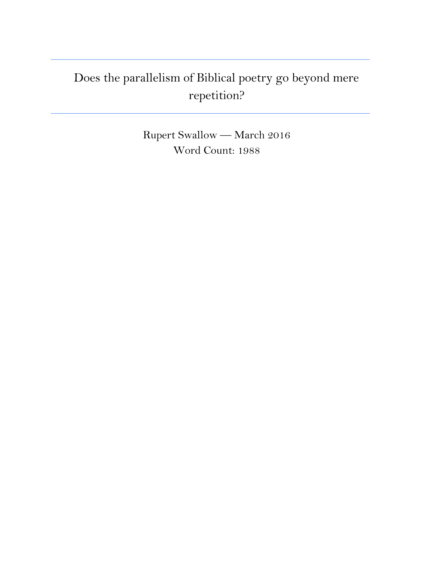## Does the parallelism of Biblical poetry go beyond mere repetition?

**\_\_\_\_\_\_\_\_\_\_\_\_\_\_\_\_\_\_\_\_\_\_\_\_\_\_\_\_\_\_\_\_\_\_\_\_\_\_\_\_\_\_\_\_\_\_\_\_\_\_\_\_\_\_\_\_\_\_\_\_\_\_\_\_\_\_\_\_\_\_\_\_\_\_\_**

**\_\_\_\_\_\_\_\_\_\_\_\_\_\_\_\_\_\_\_\_\_\_\_\_\_\_\_\_\_\_\_\_\_\_\_\_\_\_\_\_\_\_\_\_\_\_\_\_\_\_\_\_\_\_\_\_\_\_\_\_\_\_\_\_\_\_\_\_\_\_\_\_\_\_\_**

Rupert Swallow — March 2016 Word Count: 1988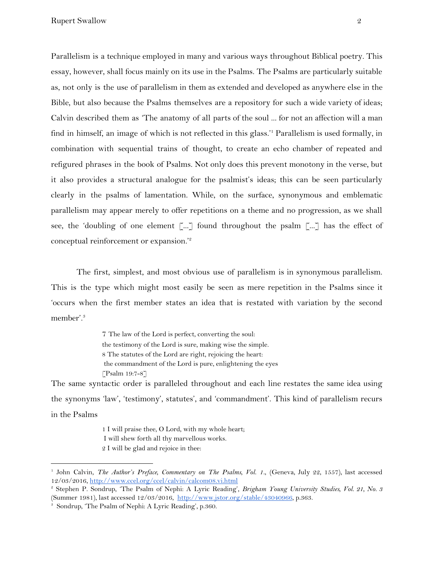Parallelism is a technique employed in many and various ways throughout Biblical poetry. This essay, however, shall focus mainly on its use in the Psalms. The Psalms are particularly suitable as, not only is the use of parallelism in them as extended and developed as anywhere else in the Bible, but also because the Psalms themselves are a repository for such a wide variety of ideas; Calvin described them as 'The anatomy of all parts of the soul ... for not an affection will a man find in himself, an image of which is not reflected in this glass.<sup>1</sup> Parallelism is used formally, in combination with sequential trains of thought, to create an echo chamber of repeated and refigured phrases in the book of Psalms. Not only does this prevent monotony in the verse, but it also provides a structural analogue for the psalmist's ideas; this can be seen particularly clearly in the psalms of lamentation. While, on the surface, synonymous and emblematic parallelism may appear merely to offer repetitions on a theme and no progression, as we shall see, the 'doubling of one element  $\lceil ... \rceil$  found throughout the psalm  $\lceil ... \rceil$  has the effect of conceptual reinforcement or expansion.'<sup>2</sup>

The first, simplest, and most obvious use of parallelism is in synonymous parallelism. This is the type which might most easily be seen as mere repetition in the Psalms since it 'occurs when the first member states an idea that is restated with variation by the second member'.<sup>3</sup>

> 7 The law of the Lord is perfect, converting the soul: the testimony of the Lord is sure, making wise the simple. 8 The statutes of the Lord are right, rejoicing the heart: the commandment of the Lord is pure, enlightening the eyes [Psalm 19:7-8]

The same syntactic order is paralleled throughout and each line restates the same idea using the synonyms 'law', 'testimony', statutes', and 'commandment'. This kind of parallelism recurs in the Psalms

> 1 I will praise thee, O Lord, with my whole heart; I will shew forth all thy marvellous works. 2 I will be glad and rejoice in thee:

<sup>1</sup> John Calvin, *The Author's Preface, Commentary on The Psalms, Vol. 1.*, (Geneva, July 22, 1557), last accessed 12/03/2016, <http://www.ccel.org/ccel/calvin/calcom08.vi.html>

<sup>2</sup> Stephen P. Sondrup, 'The Psalm of Nephi: A Lyric Reading', *Brigham Young University Studies, Vol. 21, No. 3* (Summer 1981), last accessed 12/03/2016, <http://www.jstor.org/stable/43040966>, p.363.

<sup>3</sup> Sondrup, 'The Psalm of Nephi: A Lyric Reading', p.360.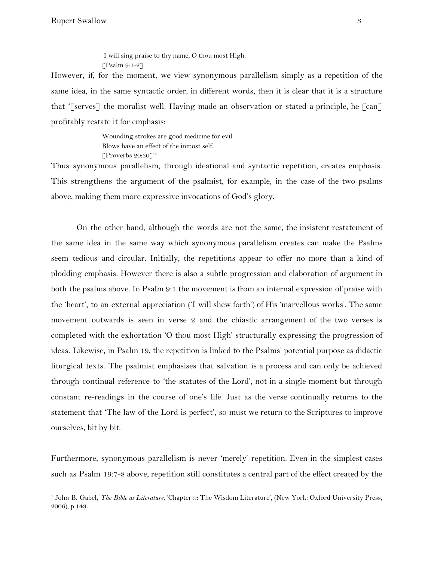I will sing praise to thy name, O thou most High.  $\lceil$ Psalm 9:1-2 $\rceil$ 

However, if, for the moment, we view synonymous parallelism simply as a repetition of the same idea, in the same syntactic order, in different words, then it is clear that it is a structure that '[serves] the moralist well. Having made an observation or stated a principle, he [can] profitably restate it for emphasis:

> Wounding strokes are good medicine for evil Blows have an effect of the inmost self. [Proverbs 20:30]' 4

Thus synonymous parallelism, through ideational and syntactic repetition, creates emphasis. This strengthens the argument of the psalmist, for example, in the case of the two psalms above, making them more expressive invocations of God's glory.

On the other hand, although the words are not the same, the insistent restatement of the same idea in the same way which synonymous parallelism creates can make the Psalms seem tedious and circular. Initially, the repetitions appear to offer no more than a kind of plodding emphasis. However there is also a subtle progression and elaboration of argument in both the psalms above. In Psalm 9:1 the movement is from an internal expression of praise with the 'heart', to an external appreciation ('I will shew forth') of His 'marvellous works'. The same movement outwards is seen in verse 2 and the chiastic arrangement of the two verses is completed with the exhortation 'O thou most High' structurally expressing the progression of ideas. Likewise, in Psalm 19, the repetition is linked to the Psalms' potential purpose as didactic liturgical texts. The psalmist emphasises that salvation is a process and can only be achieved through continual reference to 'the statutes of the Lord', not in a single moment but through constant re-readings in the course of one's life. Just as the verse continually returns to the statement that 'The law of the Lord is perfect', so must we return to the Scriptures to improve ourselves, bit by bit.

Furthermore, synonymous parallelism is never 'merely' repetition. Even in the simplest cases such as Psalm 19:7-8 above, repetition still constitutes a central part of the effect created by the

<sup>4</sup> John B. Gabel, *The Bible as Literature*, 'Chapter 9: The Wisdom Literature', (New York: Oxford University Press, 2006), p.143.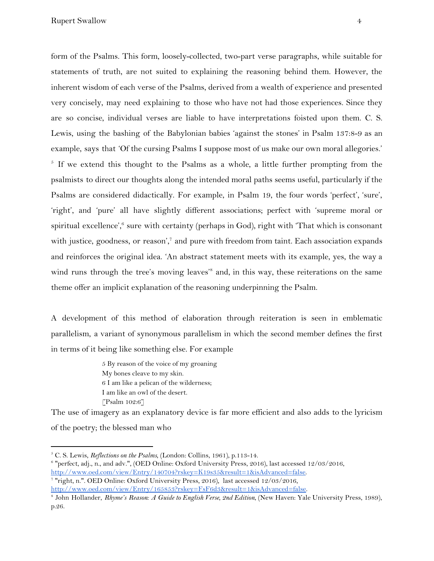form of the Psalms. This form, loosely-collected, two-part verse paragraphs, while suitable for statements of truth, are not suited to explaining the reasoning behind them. However, the inherent wisdom of each verse of the Psalms, derived from a wealth of experience and presented very concisely, may need explaining to those who have not had those experiences. Since they are so concise, individual verses are liable to have interpretations foisted upon them. C. S. Lewis, using the bashing of the Babylonian babies 'against the stones' in Psalm 137:8-9 as an example, says that 'Of the cursing Psalms I suppose most of us make our own moral allegories.'  $\delta$  If we extend this thought to the Psalms as a whole, a little further prompting from the psalmists to direct our thoughts along the intended moral paths seems useful, particularly if the Psalms are considered didactically. For example, in Psalm 19, the four words 'perfect', 'sure', 'right', and 'pure' all have slightly different associations; perfect with 'supreme moral or spiritual excellence', $6$  sure with certainty (perhaps in God), right with 'That which is consonant with justice, goodness, or reason', $7$  and pure with freedom from taint. Each association expands and reinforces the original idea. 'An abstract statement meets with its example, yes, the way a wind runs through the tree's moving leaves<sup>'s</sup> and, in this way, these reiterations on the same theme offer an implicit explanation of the reasoning underpinning the Psalm.

A development of this method of elaboration through reiteration is seen in emblematic parallelism, a variant of synonymous parallelism in which the second member defines the first in terms of it being like something else. For example

> 5 By reason of the voice of my groaning My bones cleave to my skin. 6 I am like a pelican of the wilderness; I am like an owl of the desert. [Psalm 102:6]

The use of imagery as an explanatory device is far more efficient and also adds to the lyricism of the poetry; the blessed man who

<sup>5</sup> C. S. Lewis, *Reflections on the Psalms*, (London: Collins, 1961), p.113-14.

<sup>6</sup> "perfect, adj., n., and adv.", (OED Online: Oxford University Press, 2016), last accessed 12/03/2016, <http://www.oed.com/view/Entry/140704?rskey=K19s35&result=1&isAdvanced=false>.

<sup>7</sup> "right, n.". OED Online: Oxford University Press, 2016), last accessed 12/03/2016, [http://www.oed.com/view/Entry/165853?rskey=FsF6d3&result=1&isAdvanced=false.](http://www.oed.com/view/Entry/165853?rskey=FsF6d3&result=1&isAdvanced=false)

<sup>8</sup> John Hollander, *Rhyme's Reason: A Guide to English Verse, 2nd Edition*, (New Haven: Yale University Press, 1989), p.26.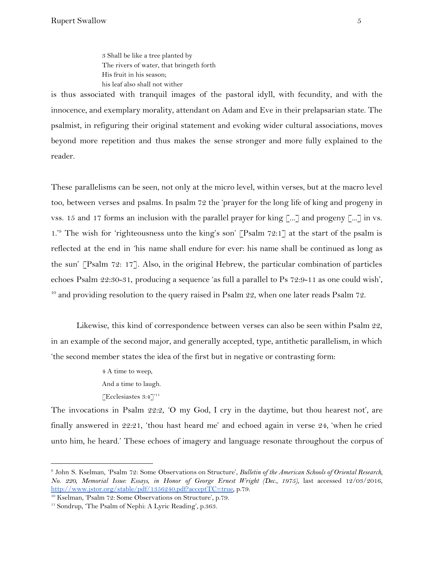3 Shall be like a tree planted by The rivers of water, that bringeth forth His fruit in his season; his leaf also shall not wither

is thus associated with tranquil images of the pastoral idyll, with fecundity, and with the innocence, and exemplary morality, attendant on Adam and Eve in their prelapsarian state. The psalmist, in refiguring their original statement and evoking wider cultural associations, moves beyond more repetition and thus makes the sense stronger and more fully explained to the reader.

These parallelisms can be seen, not only at the micro level, within verses, but at the macro level too, between verses and psalms. In psalm 72 the 'prayer for the long life of king and progeny in vss. 15 and 17 forms an inclusion with the parallel prayer for king [...] and progeny [...] in vs.  $1.^9$  The wish for 'righteousness unto the king's son' [Psalm 72:1] at the start of the psalm is reflected at the end in 'his name shall endure for ever: his name shall be continued as long as the sun' [Psalm 72: 17]. Also, in the original Hebrew, the particular combination of particles echoes Psalm 22:30-31, producing a sequence 'as full a parallel to Ps 72:9-11 as one could wish', <sup>10</sup> and providing resolution to the query raised in Psalm  $22$ , when one later reads Psalm  $72$ .

Likewise, this kind of correspondence between verses can also be seen within Psalm 22, in an example of the second major, and generally accepted, type, antithetic parallelism, in which 'the second member states the idea of the first but in negative or contrasting form:

> 4 A time to weep, And a time to laugh. [Ecclesiastes 3:4]<sup>'11</sup>

The invocations in Psalm 22:2, 'O my God, I cry in the daytime, but thou hearest not', are finally answered in 22:21, 'thou hast heard me' and echoed again in verse 24, 'when he cried unto him, he heard.' These echoes of imagery and language resonate throughout the corpus of

<sup>9</sup> John S. Kselman, 'Psalm 72: Some Observations on Structure', *Bulletin of the American Schools of Oriental Research, No. 220, Memorial Issue: Essays, in Honor of George Ernest Wright (Dec., 1975)*, last accessed 12/03/2016, [http://www.jstor.org/stable/pdf/1356240.pdf?acceptTC=true,](http://www.jstor.org/stable/pdf/1356240.pdf?acceptTC=true) p.79.

<sup>10</sup> Kselman, 'Psalm 72: Some Observations on Structure', p.79.

<sup>&</sup>lt;sup>11</sup> Sondrup, 'The Psalm of Nephi: A Lyric Reading', p.363.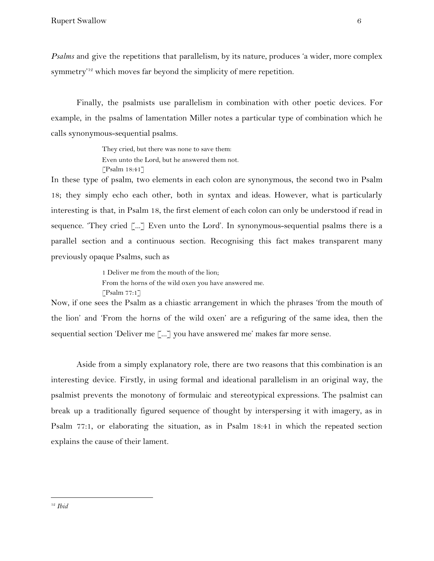*Psalms* and give the repetitions that parallelism, by its nature, produces 'a wider, more complex symmetry'<sup>12</sup> which moves far beyond the simplicity of mere repetition.

Finally, the psalmists use parallelism in combination with other poetic devices. For example, in the psalms of lamentation Miller notes a particular type of combination which he calls synonymous-sequential psalms.

> They cried, but there was none to save them: Even unto the Lord, but he answered them not. [Psalm 18:41]

In these type of psalm, two elements in each colon are synonymous, the second two in Psalm 18; they simply echo each other, both in syntax and ideas. However, what is particularly interesting is that, in Psalm 18, the first element of each colon can only be understood if read in sequence. 'They cried [...] Even unto the Lord'. In synonymous-sequential psalms there is a parallel section and a continuous section. Recognising this fact makes transparent many previously opaque Psalms, such as

> 1 Deliver me from the mouth of the lion; From the horns of the wild oxen you have answered me.  $[$ Psalm 77:1 $]$

Now, if one sees the Psalm as a chiastic arrangement in which the phrases 'from the mouth of the lion' and 'From the horns of the wild oxen' are a refiguring of the same idea, then the sequential section 'Deliver me [...] you have answered me' makes far more sense.

Aside from a simply explanatory role, there are two reasons that this combination is an interesting device. Firstly, in using formal and ideational parallelism in an original way, the psalmist prevents the monotony of formulaic and stereotypical expressions. The psalmist can break up a traditionally figured sequence of thought by interspersing it with imagery, as in Psalm 77:1, or elaborating the situation, as in Psalm 18:41 in which the repeated section explains the cause of their lament.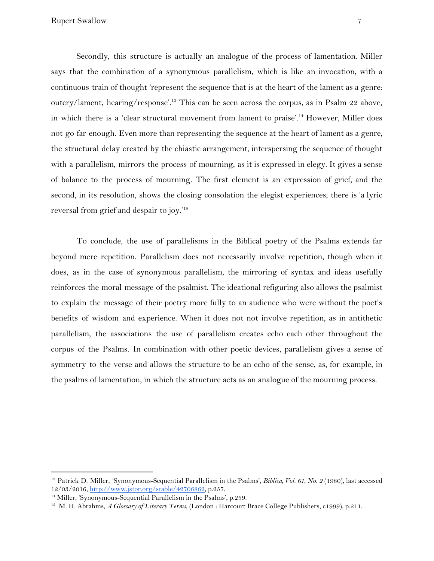Secondly, this structure is actually an analogue of the process of lamentation. Miller says that the combination of a synonymous parallelism, which is like an invocation, with a continuous train of thought 'represent the sequence that is at the heart of the lament as a genre: outcry/lament, hearing/response'.<sup>13</sup> This can be seen across the corpus, as in Psalm 22 above, in which there is a 'clear structural movement from lament to praise'.<sup>14</sup> However, Miller does not go far enough. Even more than representing the sequence at the heart of lament as a genre, the structural delay created by the chiastic arrangement, interspersing the sequence of thought with a parallelism, mirrors the process of mourning, as it is expressed in elegy. It gives a sense of balance to the process of mourning. The first element is an expression of grief, and the second, in its resolution, shows the closing consolation the elegist experiences; there is 'a lyric reversal from grief and despair to joy.'<sup>15</sup>

To conclude, the use of parallelisms in the Biblical poetry of the Psalms extends far beyond mere repetition. Parallelism does not necessarily involve repetition, though when it does, as in the case of synonymous parallelism, the mirroring of syntax and ideas usefully reinforces the moral message of the psalmist. The ideational refiguring also allows the psalmist to explain the message of their poetry more fully to an audience who were without the poet's benefits of wisdom and experience. When it does not not involve repetition, as in antithetic parallelism, the associations the use of parallelism creates echo each other throughout the corpus of the Psalms. In combination with other poetic devices, parallelism gives a sense of symmetry to the verse and allows the structure to be an echo of the sense, as, for example, in the psalms of lamentation, in which the structure acts as an analogue of the mourning process.

<sup>13</sup> Patrick D. Miller, 'Synonymous-Sequential Parallelism in the Psalms', *Biblica, Vol. 61, No. 2* (1980), last accessed 12/03/2016, [http://www.jstor.org/stable/42706862,](http://www.jstor.org/stable/42706862) p.257.

<sup>&</sup>lt;sup>14</sup> Miller, 'Synonymous-Sequential Parallelism in the Psalms', p.259.

<sup>15</sup> M. H. Abrahms, *A Glossary of Literary Terms*, (London : Harcourt Brace College Publishers, c1999), p.211.